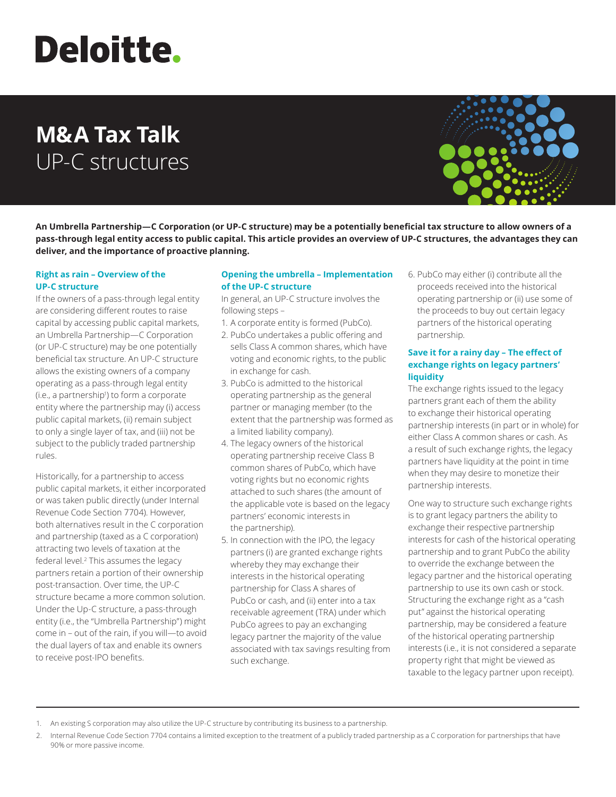# **Deloitte.**

# **M&A Tax Talk** UP-C structures



**An Umbrella Partnership—C Corporation (or UP-C structure) may be a potentially beneficial tax structure to allow owners of a pass-through legal entity access to public capital. This article provides an overview of UP-C structures, the advantages they can deliver, and the importance of proactive planning.**

# **Right as rain – Overview of the UP-C structure**

If the owners of a pass-through legal entity are considering different routes to raise capital by accessing public capital markets, an Umbrella Partnership—C Corporation (or UP-C structure) may be one potentially beneficial tax structure. An UP-C structure allows the existing owners of a company operating as a pass-through legal entity (i.e., a partnership<sup>1</sup>) to form a corporate entity where the partnership may (i) access public capital markets, (ii) remain subject to only a single layer of tax, and (iii) not be subject to the publicly traded partnership rules.

Historically, for a partnership to access public capital markets, it either incorporated or was taken public directly (under Internal Revenue Code Section 7704). However, both alternatives result in the C corporation and partnership (taxed as a C corporation) attracting two levels of taxation at the federal level.<sup>2</sup> This assumes the legacy partners retain a portion of their ownership post-transaction. Over time, the UP-C structure became a more common solution. Under the Up-C structure, a pass-through entity (i.e., the "Umbrella Partnership") might come in – out of the rain, if you will—to avoid the dual layers of tax and enable its owners to receive post-IPO benefits.

# **Opening the umbrella – Implementation of the UP-C structure**

In general, an UP-C structure involves the following steps –

- 1. A corporate entity is formed (PubCo).
- 2. PubCo undertakes a public offering and sells Class A common shares, which have voting and economic rights, to the public in exchange for cash.
- 3. PubCo is admitted to the historical operating partnership as the general partner or managing member (to the extent that the partnership was formed as a limited liability company).
- 4. The legacy owners of the historical operating partnership receive Class B common shares of PubCo, which have voting rights but no economic rights attached to such shares (the amount of the applicable vote is based on the legacy partners' economic interests in the partnership).
- 5. In connection with the IPO, the legacy partners (i) are granted exchange rights whereby they may exchange their interests in the historical operating partnership for Class A shares of PubCo or cash, and (ii) enter into a tax receivable agreement (TRA) under which PubCo agrees to pay an exchanging legacy partner the majority of the value associated with tax savings resulting from such exchange.

6. PubCo may either (i) contribute all the proceeds received into the historical operating partnership or (ii) use some of the proceeds to buy out certain legacy partners of the historical operating partnership.

# **Save it for a rainy day – The effect of exchange rights on legacy partners' liquidity**

The exchange rights issued to the legacy partners grant each of them the ability to exchange their historical operating partnership interests (in part or in whole) for either Class A common shares or cash. As a result of such exchange rights, the legacy partners have liquidity at the point in time when they may desire to monetize their partnership interests.

One way to structure such exchange rights is to grant legacy partners the ability to exchange their respective partnership interests for cash of the historical operating partnership and to grant PubCo the ability to override the exchange between the legacy partner and the historical operating partnership to use its own cash or stock. Structuring the exchange right as a "cash put" against the historical operating partnership, may be considered a feature of the historical operating partnership interests (i.e., it is not considered a separate property right that might be viewed as taxable to the legacy partner upon receipt).

<sup>1.</sup> An existing S corporation may also utilize the UP-C structure by contributing its business to a partnership.

<sup>2.</sup> Internal Revenue Code Section 7704 contains a limited exception to the treatment of a publicly traded partnership as a C corporation for partnerships that have 90% or more passive income.